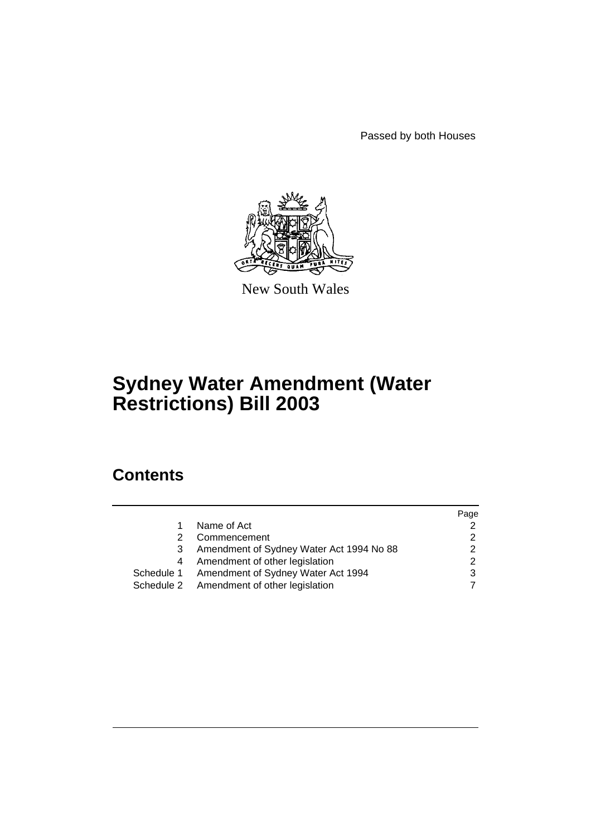Passed by both Houses



New South Wales

# **Sydney Water Amendment (Water Restrictions) Bill 2003**

# **Contents**

|   |                                               | Page |
|---|-----------------------------------------------|------|
|   | Name of Act                                   |      |
| 2 | Commencement                                  |      |
|   | Amendment of Sydney Water Act 1994 No 88      |      |
| 4 | Amendment of other legislation                | າ    |
|   | Schedule 1 Amendment of Sydney Water Act 1994 |      |
|   | Schedule 2 Amendment of other legislation     |      |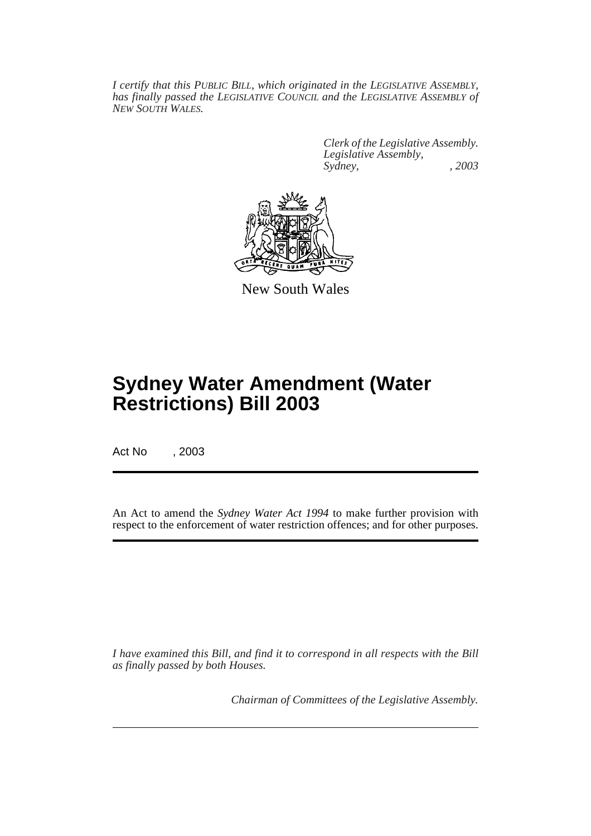*I certify that this PUBLIC BILL, which originated in the LEGISLATIVE ASSEMBLY, has finally passed the LEGISLATIVE COUNCIL and the LEGISLATIVE ASSEMBLY of NEW SOUTH WALES.*

> *Clerk of the Legislative Assembly. Legislative Assembly, Sydney, , 2003*



New South Wales

# **Sydney Water Amendment (Water Restrictions) Bill 2003**

Act No , 2003

An Act to amend the *Sydney Water Act 1994* to make further provision with respect to the enforcement of water restriction offences; and for other purposes.

*I have examined this Bill, and find it to correspond in all respects with the Bill as finally passed by both Houses.*

*Chairman of Committees of the Legislative Assembly.*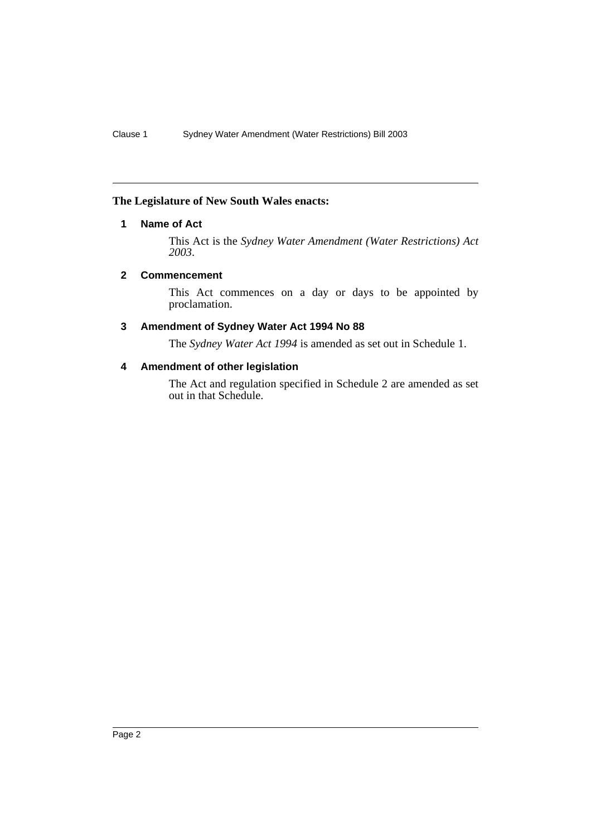## **The Legislature of New South Wales enacts:**

## **1 Name of Act**

This Act is the *Sydney Water Amendment (Water Restrictions) Act 2003*.

### **2 Commencement**

This Act commences on a day or days to be appointed by proclamation.

## **3 Amendment of Sydney Water Act 1994 No 88**

The *Sydney Water Act 1994* is amended as set out in Schedule 1.

## **4 Amendment of other legislation**

The Act and regulation specified in Schedule 2 are amended as set out in that Schedule.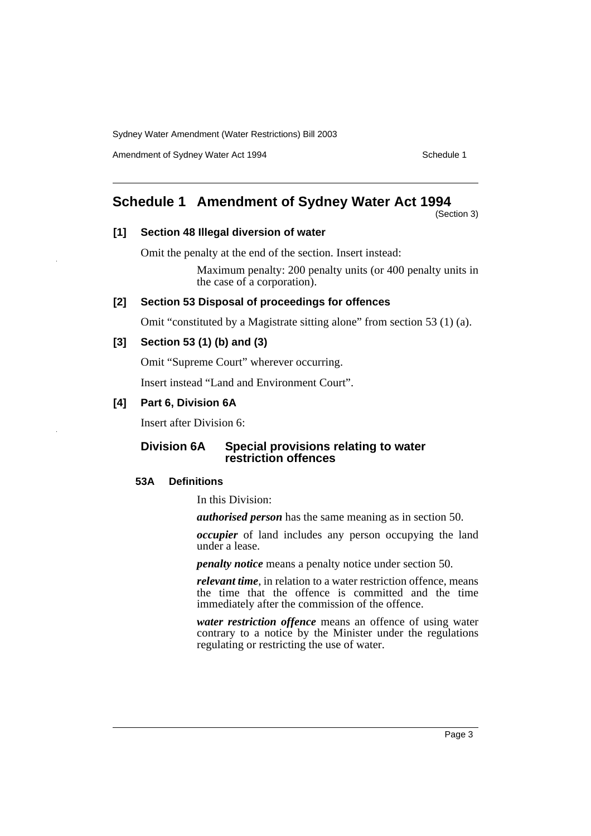Amendment of Sydney Water Act 1994 Schedule 1

## **Schedule 1 Amendment of Sydney Water Act 1994**

(Section 3)

### **[1] Section 48 Illegal diversion of water**

Omit the penalty at the end of the section. Insert instead:

Maximum penalty: 200 penalty units (or 400 penalty units in the case of a corporation).

## **[2] Section 53 Disposal of proceedings for offences**

Omit "constituted by a Magistrate sitting alone" from section 53 (1) (a).

## **[3] Section 53 (1) (b) and (3)**

Omit "Supreme Court" wherever occurring.

Insert instead "Land and Environment Court".

## **[4] Part 6, Division 6A**

Insert after Division 6:

## **Division 6A Special provisions relating to water restriction offences**

### **53A Definitions**

In this Division:

*authorised person* has the same meaning as in section 50.

*occupier* of land includes any person occupying the land under a lease.

*penalty notice* means a penalty notice under section 50.

*relevant time*, in relation to a water restriction offence, means the time that the offence is committed and the time immediately after the commission of the offence.

*water restriction offence* means an offence of using water contrary to a notice by the Minister under the regulations regulating or restricting the use of water.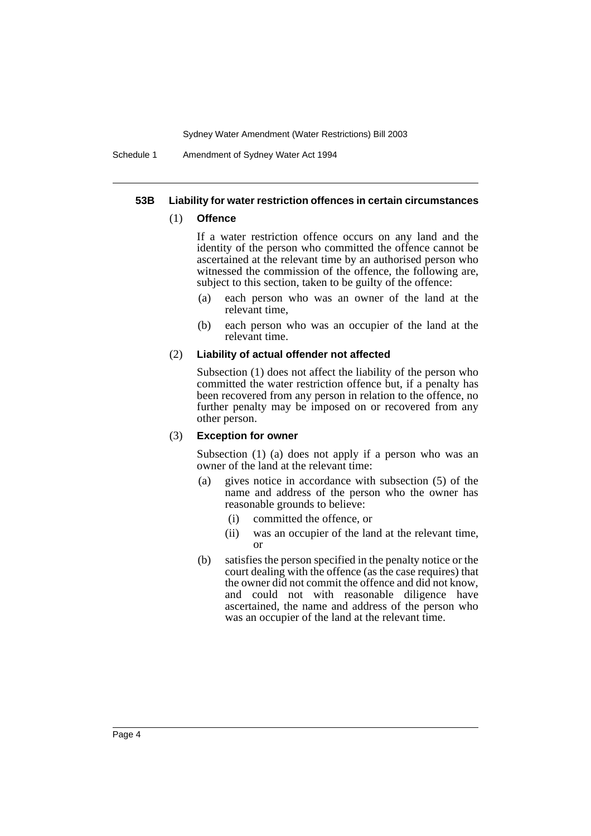Schedule 1 Amendment of Sydney Water Act 1994

#### **53B Liability for water restriction offences in certain circumstances**

#### (1) **Offence**

If a water restriction offence occurs on any land and the identity of the person who committed the offence cannot be ascertained at the relevant time by an authorised person who witnessed the commission of the offence, the following are, subject to this section, taken to be guilty of the offence:

- (a) each person who was an owner of the land at the relevant time,
- (b) each person who was an occupier of the land at the relevant time.

#### (2) **Liability of actual offender not affected**

Subsection (1) does not affect the liability of the person who committed the water restriction offence but, if a penalty has been recovered from any person in relation to the offence, no further penalty may be imposed on or recovered from any other person.

#### (3) **Exception for owner**

Subsection (1) (a) does not apply if a person who was an owner of the land at the relevant time:

- (a) gives notice in accordance with subsection (5) of the name and address of the person who the owner has reasonable grounds to believe:
	- (i) committed the offence, or
	- (ii) was an occupier of the land at the relevant time, or
- (b) satisfies the person specified in the penalty notice or the court dealing with the offence (as the case requires) that the owner did not commit the offence and did not know, and could not with reasonable diligence have ascertained, the name and address of the person who was an occupier of the land at the relevant time.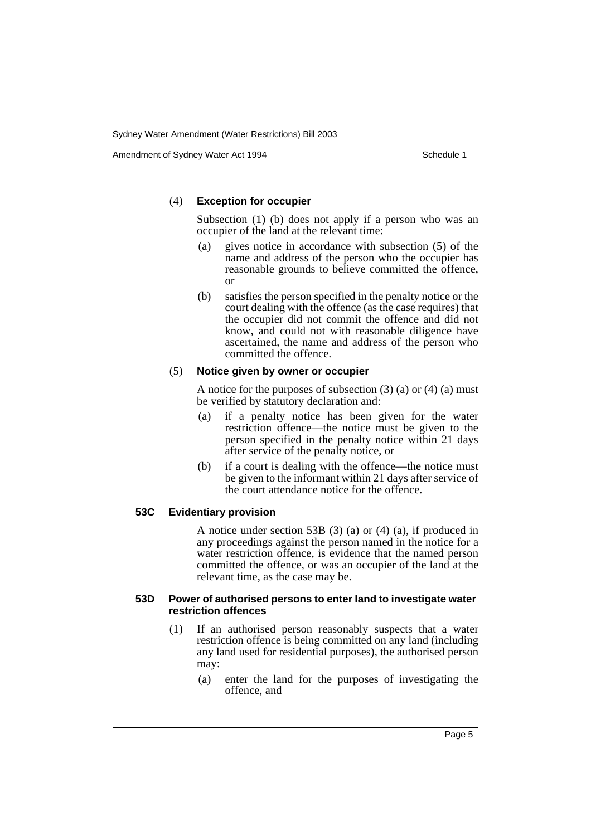Amendment of Sydney Water Act 1994 Schedule 1

#### (4) **Exception for occupier**

Subsection (1) (b) does not apply if a person who was an occupier of the land at the relevant time:

- (a) gives notice in accordance with subsection (5) of the name and address of the person who the occupier has reasonable grounds to believe committed the offence, or
- (b) satisfies the person specified in the penalty notice or the court dealing with the offence (as the case requires) that the occupier did not commit the offence and did not know, and could not with reasonable diligence have ascertained, the name and address of the person who committed the offence.

#### (5) **Notice given by owner or occupier**

A notice for the purposes of subsection  $(3)$   $(a)$  or  $(4)$   $(a)$  must be verified by statutory declaration and:

- (a) if a penalty notice has been given for the water restriction offence—the notice must be given to the person specified in the penalty notice within 21 days after service of the penalty notice, or
- (b) if a court is dealing with the offence—the notice must be given to the informant within 21 days after service of the court attendance notice for the offence.

## **53C Evidentiary provision**

A notice under section 53B (3) (a) or (4) (a), if produced in any proceedings against the person named in the notice for a water restriction offence, is evidence that the named person committed the offence, or was an occupier of the land at the relevant time, as the case may be.

#### **53D Power of authorised persons to enter land to investigate water restriction offences**

- (1) If an authorised person reasonably suspects that a water restriction offence is being committed on any land (including any land used for residential purposes), the authorised person may:
	- (a) enter the land for the purposes of investigating the offence, and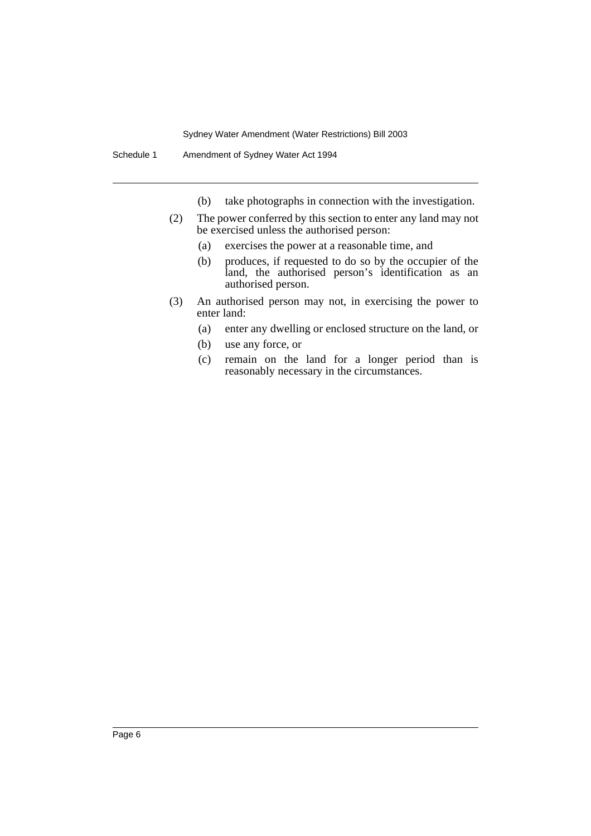- (b) take photographs in connection with the investigation.
- (2) The power conferred by this section to enter any land may not be exercised unless the authorised person:
	- (a) exercises the power at a reasonable time, and
	- (b) produces, if requested to do so by the occupier of the land, the authorised person's identification as an authorised person.
- (3) An authorised person may not, in exercising the power to enter land:
	- (a) enter any dwelling or enclosed structure on the land, or
	- (b) use any force, or
	- (c) remain on the land for a longer period than is reasonably necessary in the circumstances.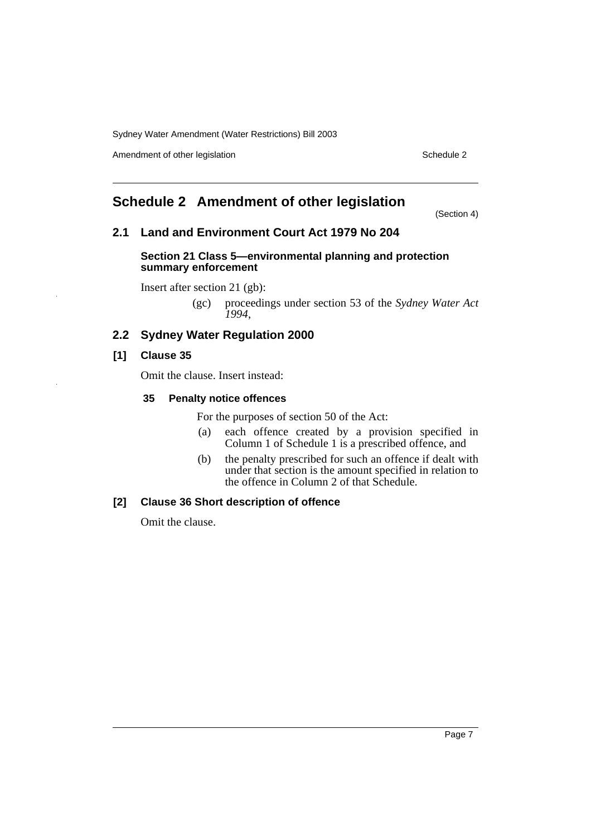Amendment of other legislation Schedule 2

## **Schedule 2 Amendment of other legislation**

(Section 4)

## **2.1 Land and Environment Court Act 1979 No 204**

#### **Section 21 Class 5—environmental planning and protection summary enforcement**

Insert after section 21 (gb):

(gc) proceedings under section 53 of the *Sydney Water Act 1994*,

## **2.2 Sydney Water Regulation 2000**

## **[1] Clause 35**

Omit the clause. Insert instead:

### **35 Penalty notice offences**

For the purposes of section 50 of the Act:

- (a) each offence created by a provision specified in Column 1 of Schedule 1 is a prescribed offence, and
- (b) the penalty prescribed for such an offence if dealt with under that section is the amount specified in relation to the offence in Column 2 of that Schedule.

## **[2] Clause 36 Short description of offence**

Omit the clause.